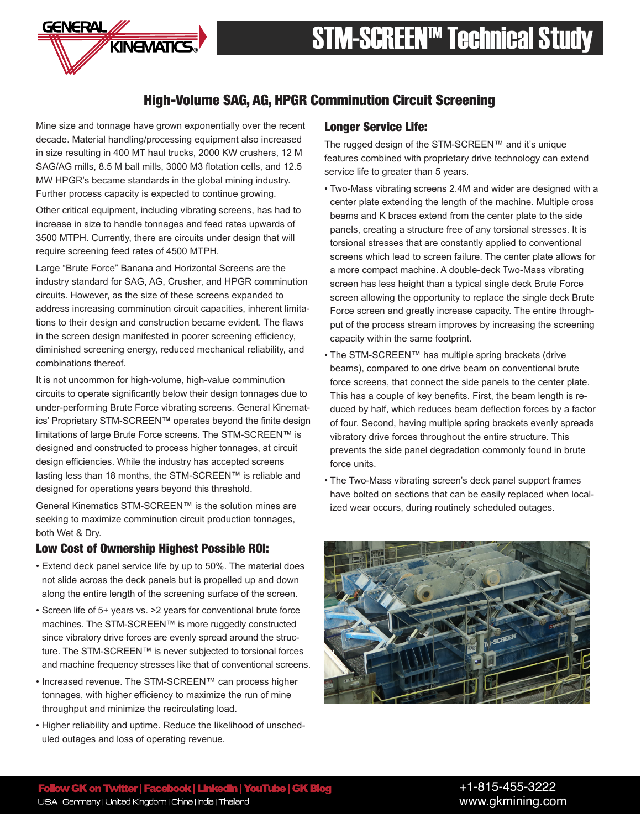

# High-Volume SAG, AG, HPGR Comminution Circuit Screening

Mine size and tonnage have grown exponentially over the recent decade. Material handling/processing equipment also increased in size resulting in 400 MT haul trucks, 2000 KW crushers, 12 M SAG/AG mills, 8.5 M ball mills, 3000 M3 flotation cells, and 12.5 MW HPGR's became standards in the global mining industry. Further process capacity is expected to continue growing.

KINEMATICS

GENERAL

Other critical equipment, including vibrating screens, has had to increase in size to handle tonnages and feed rates upwards of 3500 MTPH. Currently, there are circuits under design that will require screening feed rates of 4500 MTPH.

Large "Brute Force" Banana and Horizontal Screens are the industry standard for SAG, AG, Crusher, and HPGR comminution circuits. However, as the size of these screens expanded to address increasing comminution circuit capacities, inherent limitations to their design and construction became evident. The flaws in the screen design manifested in poorer screening efficiency, diminished screening energy, reduced mechanical reliability, and combinations thereof.

It is not uncommon for high-volume, high-value comminution circuits to operate significantly below their design tonnages due to under-performing Brute Force vibrating screens. General Kinematics' Proprietary STM-SCREEN™ operates beyond the finite design limitations of large Brute Force screens. The STM-SCREEN™ is designed and constructed to process higher tonnages, at circuit design efficiencies. While the industry has accepted screens lasting less than 18 months, the STM-SCREEN™ is reliable and designed for operations years beyond this threshold.

General Kinematics STM-SCREEN™ is the solution mines are seeking to maximize comminution circuit production tonnages, both Wet & Dry.

### Low Cost of Ownership Highest Possible ROI:

- Extend deck panel service life by up to 50%. The material does not slide across the deck panels but is propelled up and down along the entire length of the screening surface of the screen.
- Screen life of 5+ years vs. >2 years for conventional brute force machines. The STM-SCREEN™ is more ruggedly constructed since vibratory drive forces are evenly spread around the structure. The STM-SCREEN™ is never subjected to torsional forces and machine frequency stresses like that of conventional screens.
- Increased revenue. The STM-SCREEN™ can process higher tonnages, with higher efficiency to maximize the run of mine throughput and minimize the recirculating load.
- Higher reliability and uptime. Reduce the likelihood of unscheduled outages and loss of operating revenue.

### Longer Service Life:

The rugged design of the STM-SCREEN™ and it's unique features combined with proprietary drive technology can extend service life to greater than 5 years.

- Two-Mass vibrating screens 2.4M and wider are designed with a center plate extending the length of the machine. Multiple cross beams and K braces extend from the center plate to the side panels, creating a structure free of any torsional stresses. It is torsional stresses that are constantly applied to conventional screens which lead to screen failure. The center plate allows for a more compact machine. A double-deck Two-Mass vibrating screen has less height than a typical single deck Brute Force screen allowing the opportunity to replace the single deck Brute Force screen and greatly increase capacity. The entire throughput of the process stream improves by increasing the screening capacity within the same footprint.
- The STM-SCREEN™ has multiple spring brackets (drive beams), compared to one drive beam on conventional brute force screens, that connect the side panels to the center plate. This has a couple of key benefits. First, the beam length is reduced by half, which reduces beam deflection forces by a factor of four. Second, having multiple spring brackets evenly spreads vibratory drive forces throughout the entire structure. This prevents the side panel degradation commonly found in brute force units.
- The Two-Mass vibrating screen's deck panel support frames have bolted on sections that can be easily replaced when localized wear occurs, during routinely scheduled outages.

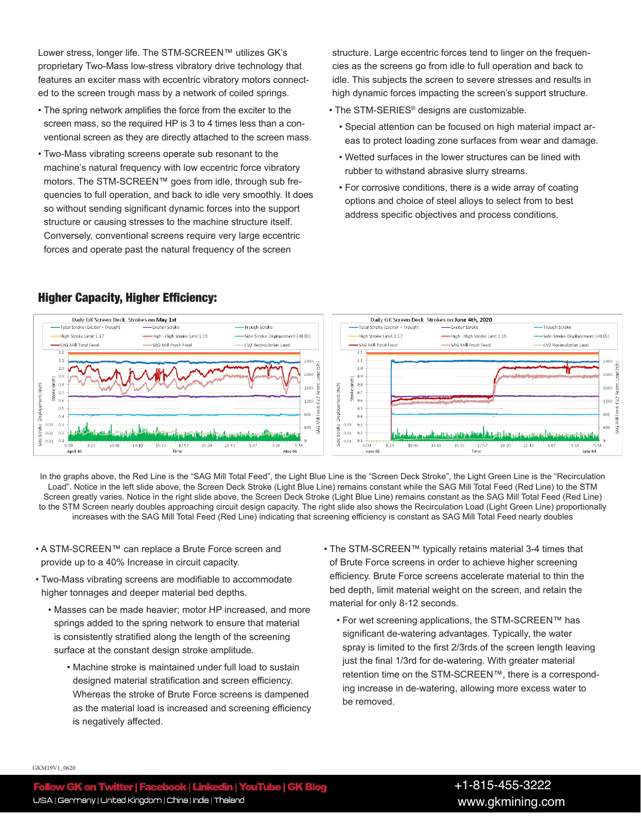Lower stress, longer life. The STM-SCREEN™ utilizes GK's proprietary Two-Mass low-stress vibratory drive technology that features an exciter mass with eccentric vibratory motors connected to the screen trough mass by a network of coiled springs.

- The spring network amplifies the force from the exciter to the screen mass, so the required HP is 3 to 4 times less than a conventional screen as they are directly attached to the screen mass.
- Two-Mass vibrating screens operate sub resonant to the machine's natural frequency with low eccentric force vibratory motors. The STM-SCREEN™ goes from idle, through sub frequencies to full operation, and back to idle very smoothly. It does so without sending significant dynamic forces into the support structure or causing stresses to the machine structure itself. Conversely, conventional screens require very large eccentric forces and operate past the natural frequency of the screen

structure. Large eccentric forces tend to linger on the frequencies as the screens go from idle to full operation and back to idle. This subjects the screen to severe stresses and results in high dynamic forces impacting the screen's support structure.

- The STM-SERIES® designs are customizable.
	- Special attention can be focused on high material impact areas to protect loading zone surfaces from wear and damage.
	- Wetted surfaces in the lower structures can be lined with rubber to withstand abrasive slurry streams.
	- For corrosive conditions, there is a wide array of coating options and choice of steel alloys to select from to best address specific objectives and process conditions.



In the graphs above, the Red Line is the "SAG Mill Total Feed", the Light Blue Line is the "Screen Deck Stroke", the Light Green Line is the "Recirculation Load". Notice in the left slide above, the Screen Deck Stroke (Light Blue Line) remains constant while the SAG Mill Total Feed (Red Line) to the STM Screen greatly varies. Notice in the right slide above, the Screen Deck Stroke (Light Blue Line) remains constant as the SAG Mill Total Feed (Red Line) to the STM Screen nearly doubles approaching circuit design capacity. The right slide also shows the Recirculation Load (Light Green Line) proportionally increases with the SAG Mill Total Feed (Red Line) indicating that screening efficiency is constant as SAG Mill Total Feed nearly doubles

- A STM-SCREEN™ can replace a Brute Force screen and provide up to a 40% Increase in circuit capacity.
- Two-Mass vibrating screens are modifiable to accommodate higher tonnages and deeper material bed depths.
	- Masses can be made heavier; motor HP increased, and more springs added to the spring network to ensure that material is consistently stratified along the length of the screening surface at the constant design stroke amplitude.
		- Machine stroke is maintained under full load to sustain designed material stratification and screen efficiency. Whereas the stroke of Brute Force screens is dampened as the material load is increased and screening efficiency is negatively affected.
- The STM-SCREEN™ typically retains material 3-4 times that of Brute Force screens in order to achieve higher screening efficiency. Brute Force screens accelerate material to thin the bed depth, limit material weight on the screen, and retain the material for only 8-12 seconds.
	- For wet screening applications, the STM-SCREEN™ has significant de-watering advantages. Typically, the water spray is limited to the first 2/3rds of the screen length leaving just the final 1/3rd for de-watering. With greater material retention time on the STM-SCREEN™, there is a corresponding increase in de-watering, allowing more excess water to be removed.

#### GKM19V1\_0620

# Higher Capacity, Higher Efficiency: